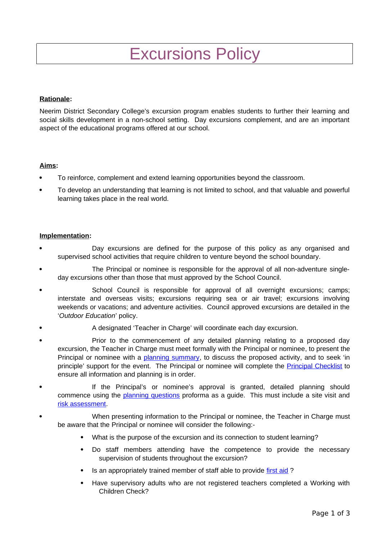# Excursions Policy

# **Rationale:**

Neerim District Secondary College's excursion program enables students to further their learning and social skills development in a non-school setting. Day excursions complement, and are an important aspect of the educational programs offered at our school.

# **Aims:**

- To reinforce, complement and extend learning opportunities beyond the classroom.
- To develop an understanding that learning is not limited to school, and that valuable and powerful learning takes place in the real world.

# **Implementation:**

- Day excursions are defined for the purpose of this policy as any organised and supervised school activities that require children to venture beyond the school boundary.
- The Principal or nominee is responsible for the approval of all non-adventure singleday excursions other than those that must approved by the School Council.
- School Council is responsible for approval of all overnight excursions; camps; interstate and overseas visits; excursions requiring sea or air travel; excursions involving weekends or vacations; and adventure activities. Council approved excursions are detailed in the '*Outdoor Education*' policy.
- A designated 'Teacher in Charge' will coordinate each day excursion.
- Prior to the commencement of any detailed planning relating to a proposed day excursion, the Teacher in Charge must meet formally with the Principal or nominee, to present the Principal or nominee with a [planning summary,](http://www.eduweb.vic.gov.au/edulibrary/public/schadmin/schops/edoutdoors/planningsummary.doc) to discuss the proposed activity, and to seek 'in principle' support for the event. The Principal or nominee will complete the **Principal Checklist** to ensure all information and planning is in order.
- If the Principal's or nominee's approval is granted, detailed planning should commence using the **planning questions** proforma as a guide. This must include a site visit and [risk assessment.](http://www.education.vic.gov.au/school/principals/safety/Pages/outdoorrisk.aspx)
- When presenting information to the Principal or nominee, the Teacher in Charge must be aware that the Principal or nominee will consider the following:-
	- What is the purpose of the excursion and its connection to student learning?
	- Do staff members attending have the competence to provide the necessary supervision of students throughout the excursion?
	- Is an appropriately trained member of staff able to provide [first aid](http://www.education.vic.gov.au/management/schooloperations/edoutdoors/resources/firstaid.htm) ?
	- Have supervisory adults who are not registered teachers completed a Working with Children Check?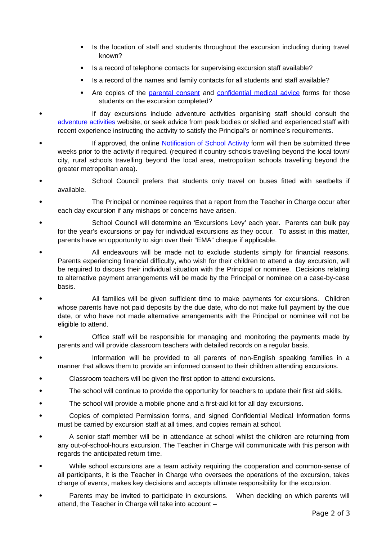- Is the location of staff and students throughout the excursion including during travel known?
- Is a record of telephone contacts for supervising excursion staff available?
- Is a record of the names and family contacts for all students and staff available?
- Are copies of the [parental consent](http://www.eduweb.vic.gov.au/edulibrary/public/schadmin/schops/edoutdoors/parentconsent.doc) and [confidential medical advice](http://www.eduweb.vic.gov.au/edulibrary/public/schadmin/schops/edoutdoors/medicalinformation.doc) forms for those students on the excursion completed?
- If day excursions include adventure activities organising staff should consult the [adventure activities](http://www.education.vic.gov.au/school/principals/safety/Pages/outdooractivity.aspx) website, or seek advice from peak bodies or skilled and experienced staff with recent experience instructing the activity to satisfy the Principal's or nominee's requirements.
- If approved, the online [Notification of School Activity](http://www.eduweb.vic.gov.au/forms/school/sal/enteractivity.asp) form will then be submitted three weeks prior to the activity if required. (required if country schools travelling beyond the local town/ city, rural schools travelling beyond the local area, metropolitan schools travelling beyond the greater metropolitan area).
- School Council prefers that students only travel on buses fitted with seatbelts if available.
- The Principal or nominee requires that a report from the Teacher in Charge occur after each day excursion if any mishaps or concerns have arisen.
- School Council will determine an 'Excursions Levy' each year. Parents can bulk pay for the year's excursions or pay for individual excursions as they occur. To assist in this matter, parents have an opportunity to sign over their "EMA" cheque if applicable.
- All endeavours will be made not to exclude students simply for financial reasons. Parents experiencing financial difficulty, who wish for their children to attend a day excursion, will be required to discuss their individual situation with the Principal or nominee. Decisions relating to alternative payment arrangements will be made by the Principal or nominee on a case-by-case basis.
- All families will be given sufficient time to make payments for excursions. Children whose parents have not paid deposits by the due date, who do not make full payment by the due date, or who have not made alternative arrangements with the Principal or nominee will not be eligible to attend.
- Office staff will be responsible for managing and monitoring the payments made by parents and will provide classroom teachers with detailed records on a regular basis.
- Information will be provided to all parents of non-English speaking families in a manner that allows them to provide an informed consent to their children attending excursions.
- Classroom teachers will be given the first option to attend excursions.
- The school will continue to provide the opportunity for teachers to update their first aid skills.
- The school will provide a mobile phone and a first-aid kit for all day excursions.
- Copies of completed Permission forms, and signed Confidential Medical Information forms must be carried by excursion staff at all times, and copies remain at school.
- A senior staff member will be in attendance at school whilst the children are returning from any out-of-school-hours excursion. The Teacher in Charge will communicate with this person with regards the anticipated return time.
- While school excursions are a team activity requiring the cooperation and common-sense of all participants, it is the Teacher in Charge who oversees the operations of the excursion, takes charge of events, makes key decisions and accepts ultimate responsibility for the excursion.
- Parents may be invited to participate in excursions. When deciding on which parents will attend, the Teacher in Charge will take into account –